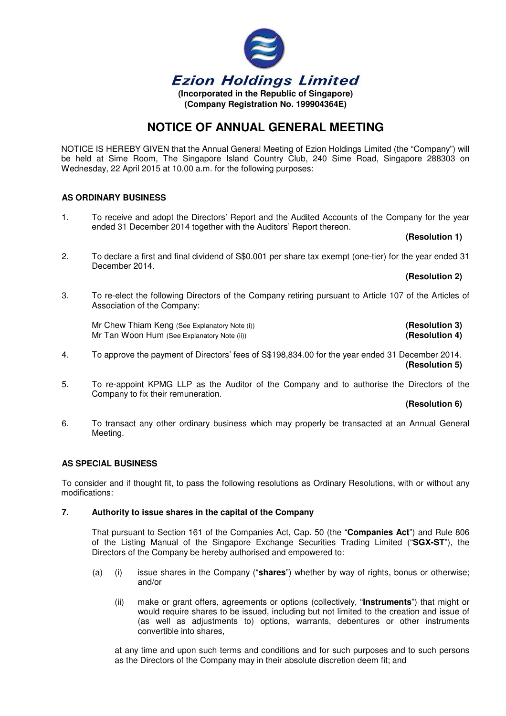

# **NOTICE OF ANNUAL GENERAL MEETING**

NOTICE IS HEREBY GIVEN that the Annual General Meeting of Ezion Holdings Limited (the "Company") will be held at Sime Room, The Singapore Island Country Club, 240 Sime Road, Singapore 288303 on Wednesday, 22 April 2015 at 10.00 a.m. for the following purposes:

# **AS ORDINARY BUSINESS**

1. To receive and adopt the Directors' Report and the Audited Accounts of the Company for the year ended 31 December 2014 together with the Auditors' Report thereon.

## **(Resolution 1)**

2. To declare a first and final dividend of S\$0.001 per share tax exempt (one-tier) for the year ended 31 December 2014.

## **(Resolution 2)**

3. To re-elect the following Directors of the Company retiring pursuant to Article 107 of the Articles of Association of the Company:

 Mr Chew Thiam Keng (See Explanatory Note (i)) **(Resolution 3)** Mr Tan Woon Hum (See Explanatory Note (ii)) **All and Contain the Container (Resolution 4) (Resolution 4)** 

- 4. To approve the payment of Directors' fees of S\$198,834.00 for the year ended 31 December 2014.  **(Resolution 5)**
- 5. To re-appoint KPMG LLP as the Auditor of the Company and to authorise the Directors of the Company to fix their remuneration.

### **(Resolution 6)**

6. To transact any other ordinary business which may properly be transacted at an Annual General Meeting.

# **AS SPECIAL BUSINESS**

To consider and if thought fit, to pass the following resolutions as Ordinary Resolutions, with or without any modifications:

#### **7. Authority to issue shares in the capital of the Company**

That pursuant to Section 161 of the Companies Act, Cap. 50 (the "**Companies Act**") and Rule 806 of the Listing Manual of the Singapore Exchange Securities Trading Limited ("**SGX-ST**"), the Directors of the Company be hereby authorised and empowered to:

- (a) (i) issue shares in the Company ("**shares**") whether by way of rights, bonus or otherwise; and/or
	- (ii) make or grant offers, agreements or options (collectively, "**Instruments**") that might or would require shares to be issued, including but not limited to the creation and issue of (as well as adjustments to) options, warrants, debentures or other instruments convertible into shares,

at any time and upon such terms and conditions and for such purposes and to such persons as the Directors of the Company may in their absolute discretion deem fit; and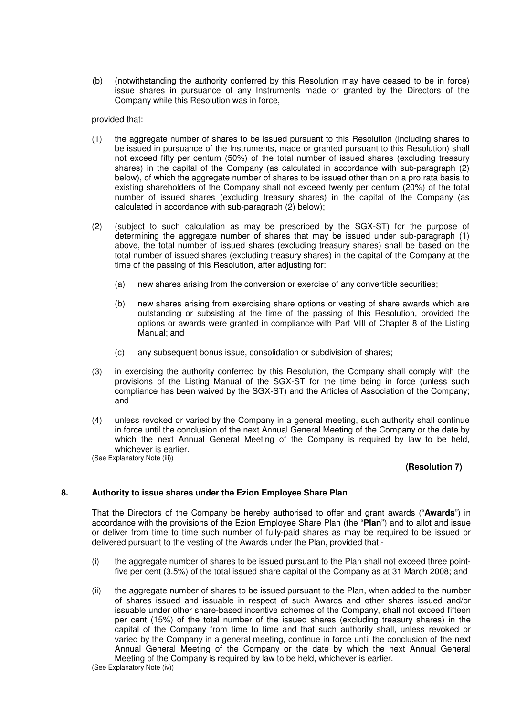(b) (notwithstanding the authority conferred by this Resolution may have ceased to be in force) issue shares in pursuance of any Instruments made or granted by the Directors of the Company while this Resolution was in force,

provided that:

- (1) the aggregate number of shares to be issued pursuant to this Resolution (including shares to be issued in pursuance of the Instruments, made or granted pursuant to this Resolution) shall not exceed fifty per centum (50%) of the total number of issued shares (excluding treasury shares) in the capital of the Company (as calculated in accordance with sub-paragraph (2) below), of which the aggregate number of shares to be issued other than on a pro rata basis to existing shareholders of the Company shall not exceed twenty per centum (20%) of the total number of issued shares (excluding treasury shares) in the capital of the Company (as calculated in accordance with sub-paragraph (2) below);
- (2) (subject to such calculation as may be prescribed by the SGX-ST) for the purpose of determining the aggregate number of shares that may be issued under sub-paragraph (1) above, the total number of issued shares (excluding treasury shares) shall be based on the total number of issued shares (excluding treasury shares) in the capital of the Company at the time of the passing of this Resolution, after adjusting for:
	- (a) new shares arising from the conversion or exercise of any convertible securities;
	- (b) new shares arising from exercising share options or vesting of share awards which are outstanding or subsisting at the time of the passing of this Resolution, provided the options or awards were granted in compliance with Part VIII of Chapter 8 of the Listing Manual; and
	- (c) any subsequent bonus issue, consolidation or subdivision of shares;
- (3) in exercising the authority conferred by this Resolution, the Company shall comply with the provisions of the Listing Manual of the SGX-ST for the time being in force (unless such compliance has been waived by the SGX-ST) and the Articles of Association of the Company; and
- (4) unless revoked or varied by the Company in a general meeting, such authority shall continue in force until the conclusion of the next Annual General Meeting of the Company or the date by which the next Annual General Meeting of the Company is required by law to be held, whichever is earlier.

(See Explanatory Note (iii))

#### **(Resolution 7)**

## **8. Authority to issue shares under the Ezion Employee Share Plan**

That the Directors of the Company be hereby authorised to offer and grant awards ("**Awards**") in accordance with the provisions of the Ezion Employee Share Plan (the "**Plan**") and to allot and issue or deliver from time to time such number of fully-paid shares as may be required to be issued or delivered pursuant to the vesting of the Awards under the Plan, provided that:-

- (i) the aggregate number of shares to be issued pursuant to the Plan shall not exceed three pointfive per cent (3.5%) of the total issued share capital of the Company as at 31 March 2008; and
- (ii) the aggregate number of shares to be issued pursuant to the Plan, when added to the number of shares issued and issuable in respect of such Awards and other shares issued and/or issuable under other share-based incentive schemes of the Company, shall not exceed fifteen per cent (15%) of the total number of the issued shares (excluding treasury shares) in the capital of the Company from time to time and that such authority shall, unless revoked or varied by the Company in a general meeting, continue in force until the conclusion of the next Annual General Meeting of the Company or the date by which the next Annual General Meeting of the Company is required by law to be held, whichever is earlier.

(See Explanatory Note (iv))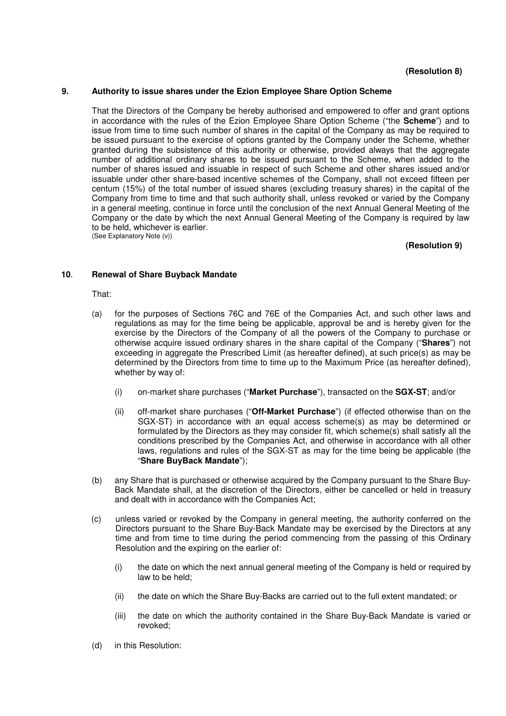## **(Resolution 8)**

## **9. Authority to issue shares under the Ezion Employee Share Option Scheme**

That the Directors of the Company be hereby authorised and empowered to offer and grant options in accordance with the rules of the Ezion Employee Share Option Scheme ("the **Scheme**") and to issue from time to time such number of shares in the capital of the Company as may be required to be issued pursuant to the exercise of options granted by the Company under the Scheme, whether granted during the subsistence of this authority or otherwise, provided always that the aggregate number of additional ordinary shares to be issued pursuant to the Scheme, when added to the number of shares issued and issuable in respect of such Scheme and other shares issued and/or issuable under other share-based incentive schemes of the Company, shall not exceed fifteen per centum (15%) of the total number of issued shares (excluding treasury shares) in the capital of the Company from time to time and that such authority shall, unless revoked or varied by the Company in a general meeting, continue in force until the conclusion of the next Annual General Meeting of the Company or the date by which the next Annual General Meeting of the Company is required by law to be held, whichever is earlier. (See Explanatory Note (v))

## **(Resolution 9)**

## **10**. **Renewal of Share Buyback Mandate**

#### That:

- (a) for the purposes of Sections 76C and 76E of the Companies Act, and such other laws and regulations as may for the time being be applicable, approval be and is hereby given for the exercise by the Directors of the Company of all the powers of the Company to purchase or otherwise acquire issued ordinary shares in the share capital of the Company ("**Shares**") not exceeding in aggregate the Prescribed Limit (as hereafter defined), at such price(s) as may be determined by the Directors from time to time up to the Maximum Price (as hereafter defined), whether by way of:
	- (i) on-market share purchases ("**Market Purchase**"), transacted on the **SGX-ST**; and/or
	- (ii) off-market share purchases ("**Off-Market Purchase**") (if effected otherwise than on the SGX-ST) in accordance with an equal access scheme(s) as may be determined or formulated by the Directors as they may consider fit, which scheme(s) shall satisfy all the conditions prescribed by the Companies Act, and otherwise in accordance with all other laws, regulations and rules of the SGX-ST as may for the time being be applicable (the "**Share BuyBack Mandate**");
- (b) any Share that is purchased or otherwise acquired by the Company pursuant to the Share Buy-Back Mandate shall, at the discretion of the Directors, either be cancelled or held in treasury and dealt with in accordance with the Companies Act;
- (c) unless varied or revoked by the Company in general meeting, the authority conferred on the Directors pursuant to the Share Buy-Back Mandate may be exercised by the Directors at any time and from time to time during the period commencing from the passing of this Ordinary Resolution and the expiring on the earlier of:
	- (i) the date on which the next annual general meeting of the Company is held or required by law to be held;
	- (ii) the date on which the Share Buy-Backs are carried out to the full extent mandated; or
	- (iii) the date on which the authority contained in the Share Buy-Back Mandate is varied or revoked;
- (d) in this Resolution: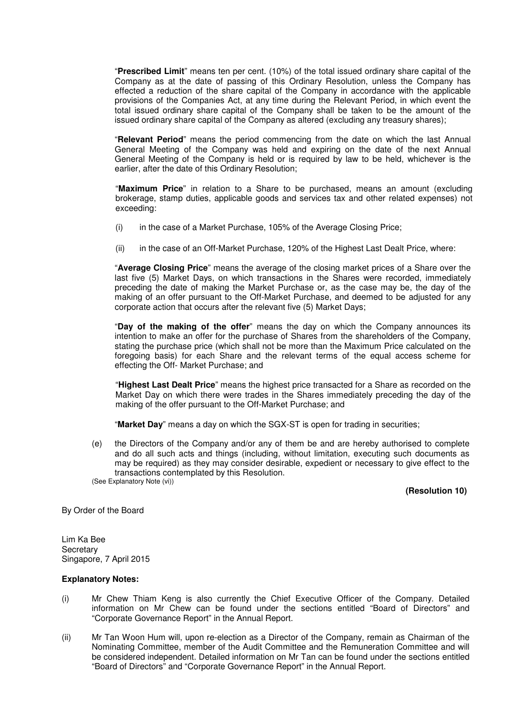"**Prescribed Limit**" means ten per cent. (10%) of the total issued ordinary share capital of the Company as at the date of passing of this Ordinary Resolution, unless the Company has effected a reduction of the share capital of the Company in accordance with the applicable provisions of the Companies Act, at any time during the Relevant Period, in which event the total issued ordinary share capital of the Company shall be taken to be the amount of the issued ordinary share capital of the Company as altered (excluding any treasury shares);

"**Relevant Period**" means the period commencing from the date on which the last Annual General Meeting of the Company was held and expiring on the date of the next Annual General Meeting of the Company is held or is required by law to be held, whichever is the earlier, after the date of this Ordinary Resolution;

 "**Maximum Price**" in relation to a Share to be purchased, means an amount (excluding brokerage, stamp duties, applicable goods and services tax and other related expenses) not exceeding:

- (i) in the case of a Market Purchase, 105% of the Average Closing Price;
- (ii) in the case of an Off-Market Purchase, 120% of the Highest Last Dealt Price, where:

"**Average Closing Price**" means the average of the closing market prices of a Share over the last five (5) Market Days, on which transactions in the Shares were recorded, immediately preceding the date of making the Market Purchase or, as the case may be, the day of the making of an offer pursuant to the Off-Market Purchase, and deemed to be adjusted for any corporate action that occurs after the relevant five (5) Market Days;

"**Day of the making of the offer**" means the day on which the Company announces its intention to make an offer for the purchase of Shares from the shareholders of the Company, stating the purchase price (which shall not be more than the Maximum Price calculated on the foregoing basis) for each Share and the relevant terms of the equal access scheme for effecting the Off- Market Purchase; and

"**Highest Last Dealt Price**" means the highest price transacted for a Share as recorded on the Market Day on which there were trades in the Shares immediately preceding the day of the making of the offer pursuant to the Off-Market Purchase; and

"**Market Day**" means a day on which the SGX-ST is open for trading in securities;

(e) the Directors of the Company and/or any of them be and are hereby authorised to complete and do all such acts and things (including, without limitation, executing such documents as may be required) as they may consider desirable, expedient or necessary to give effect to the transactions contemplated by this Resolution. (See Explanatory Note (vi))

# **(Resolution 10)**

By Order of the Board

Lim Ka Bee **Secretary** Singapore, 7 April 2015

#### **Explanatory Notes:**

- (i) Mr Chew Thiam Keng is also currently the Chief Executive Officer of the Company. Detailed information on Mr Chew can be found under the sections entitled "Board of Directors" and "Corporate Governance Report" in the Annual Report.
- (ii) Mr Tan Woon Hum will, upon re-election as a Director of the Company, remain as Chairman of the Nominating Committee, member of the Audit Committee and the Remuneration Committee and will be considered independent. Detailed information on Mr Tan can be found under the sections entitled "Board of Directors" and "Corporate Governance Report" in the Annual Report.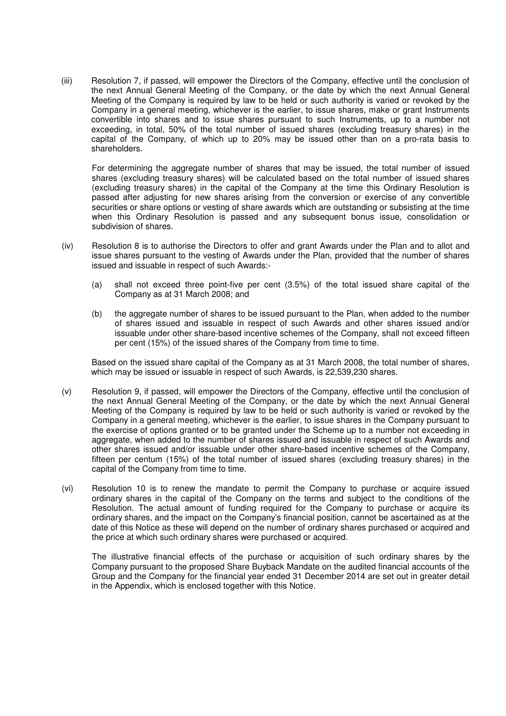(iii) Resolution 7, if passed, will empower the Directors of the Company, effective until the conclusion of the next Annual General Meeting of the Company, or the date by which the next Annual General Meeting of the Company is required by law to be held or such authority is varied or revoked by the Company in a general meeting, whichever is the earlier, to issue shares, make or grant Instruments convertible into shares and to issue shares pursuant to such Instruments, up to a number not exceeding, in total, 50% of the total number of issued shares (excluding treasury shares) in the capital of the Company, of which up to 20% may be issued other than on a pro-rata basis to shareholders.

For determining the aggregate number of shares that may be issued, the total number of issued shares (excluding treasury shares) will be calculated based on the total number of issued shares (excluding treasury shares) in the capital of the Company at the time this Ordinary Resolution is passed after adjusting for new shares arising from the conversion or exercise of any convertible securities or share options or vesting of share awards which are outstanding or subsisting at the time when this Ordinary Resolution is passed and any subsequent bonus issue, consolidation or subdivision of shares.

- (iv) Resolution 8 is to authorise the Directors to offer and grant Awards under the Plan and to allot and issue shares pursuant to the vesting of Awards under the Plan, provided that the number of shares issued and issuable in respect of such Awards:-
	- (a) shall not exceed three point-five per cent (3.5%) of the total issued share capital of the Company as at 31 March 2008; and
	- (b) the aggregate number of shares to be issued pursuant to the Plan, when added to the number of shares issued and issuable in respect of such Awards and other shares issued and/or issuable under other share-based incentive schemes of the Company, shall not exceed fifteen per cent (15%) of the issued shares of the Company from time to time.

Based on the issued share capital of the Company as at 31 March 2008, the total number of shares, which may be issued or issuable in respect of such Awards, is 22,539,230 shares.

- (v) Resolution 9, if passed, will empower the Directors of the Company, effective until the conclusion of the next Annual General Meeting of the Company, or the date by which the next Annual General Meeting of the Company is required by law to be held or such authority is varied or revoked by the Company in a general meeting, whichever is the earlier, to issue shares in the Company pursuant to the exercise of options granted or to be granted under the Scheme up to a number not exceeding in aggregate, when added to the number of shares issued and issuable in respect of such Awards and other shares issued and/or issuable under other share-based incentive schemes of the Company, fifteen per centum (15%) of the total number of issued shares (excluding treasury shares) in the capital of the Company from time to time.
- (vi) Resolution 10 is to renew the mandate to permit the Company to purchase or acquire issued ordinary shares in the capital of the Company on the terms and subject to the conditions of the Resolution. The actual amount of funding required for the Company to purchase or acquire its ordinary shares, and the impact on the Company's financial position, cannot be ascertained as at the date of this Notice as these will depend on the number of ordinary shares purchased or acquired and the price at which such ordinary shares were purchased or acquired.

The illustrative financial effects of the purchase or acquisition of such ordinary shares by the Company pursuant to the proposed Share Buyback Mandate on the audited financial accounts of the Group and the Company for the financial year ended 31 December 2014 are set out in greater detail in the Appendix, which is enclosed together with this Notice.